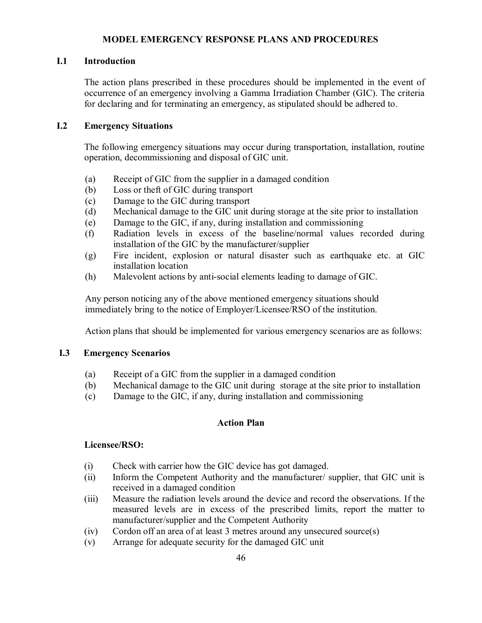#### **MODEL EMERGENCY RESPONSE PLANS AND PROCEDURES**

#### **I.1 Introduction**

The action plans prescribed in these procedures should be implemented in the event of occurrence of an emergency involving a Gamma Irradiation Chamber (GIC). The criteria for declaring and for terminating an emergency, as stipulated should be adhered to.

### **I.2 Emergency Situations**

The following emergency situations may occur during transportation, installation, routine operation, decommissioning and disposal of GIC unit.

- (a) Receipt of GIC from the supplier in a damaged condition
- (b) Loss or theft of GIC during transport
- (c) Damage to the GIC during transport
- (d) Mechanical damage to the GIC unit during storage at the site prior to installation
- (e) Damage to the GIC, if any, during installation and commissioning
- (f) Radiation levels in excess of the baseline/normal values recorded during installation of the GIC by the manufacturer/supplier
- (g) Fire incident, explosion or natural disaster such as earthquake etc. at GIC installation location
- (h) Malevolent actions by anti-social elements leading to damage of GIC.

Any person noticing any of the above mentioned emergency situations should immediately bring to the notice of Employer/Licensee/RSO of the institution.

Action plans that should be implemented for various emergency scenarios are as follows:

### **I.3 Emergency Scenarios**

- (a) Receipt of a GIC from the supplier in a damaged condition
- (b) Mechanical damage to the GIC unit during storage at the site prior to installation
- (c) Damage to the GIC, if any, during installation and commissioning

### **Action Plan**

#### **Licensee/RSO:**

- (i) Check with carrier how the GIC device has got damaged.
- (ii) Inform the Competent Authority and the manufacturer/ supplier, that GIC unit is received in a damaged condition
- (iii) Measure the radiation levels around the device and record the observations. If the measured levels are in excess of the prescribed limits, report the matter to manufacturer/supplier and the Competent Authority
- (iv) Cordon off an area of at least 3 metres around any unsecured source(s)
- (v) Arrange for adequate security for the damaged GIC unit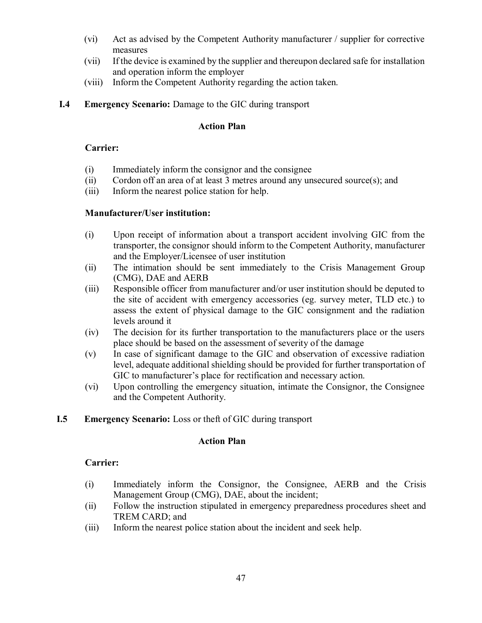- (vi) Act as advised by the Competent Authority manufacturer / supplier for corrective measures
- (vii) If the device is examined by the supplier and thereupon declared safe for installation and operation inform the employer
- (viii) Inform the Competent Authority regarding the action taken.
- **I.4 Emergency Scenario:** Damage to the GIC during transport

### **Action Plan**

# **Carrier:**

- (i) Immediately inform the consignor and the consignee
- (ii) Cordon off an area of at least 3 metres around any unsecured source(s); and
- (iii) Inform the nearest police station for help.

# **Manufacturer/User institution:**

- (i) Upon receipt of information about a transport accident involving GIC from the transporter, the consignor should inform to the Competent Authority, manufacturer and the Employer/Licensee of user institution
- (ii) The intimation should be sent immediately to the Crisis Management Group (CMG), DAE and AERB
- (iii) Responsible officer from manufacturer and/or user institution should be deputed to the site of accident with emergency accessories (eg. survey meter, TLD etc.) to assess the extent of physical damage to the GIC consignment and the radiation levels around it
- (iv) The decision for its further transportation to the manufacturers place or the users place should be based on the assessment of severity of the damage
- (v) In case of significant damage to the GIC and observation of excessive radiation level, adequate additional shielding should be provided for further transportation of GIC to manufacturer's place for rectification and necessary action.
- (vi) Upon controlling the emergency situation, intimate the Consignor, the Consignee and the Competent Authority.
- **I.5 Emergency Scenario:** Loss or theft of GIC during transport

# **Action Plan**

# **Carrier:**

- (i) Immediately inform the Consignor, the Consignee, AERB and the Crisis Management Group (CMG), DAE, about the incident;
- (ii) Follow the instruction stipulated in emergency preparedness procedures sheet and TREM CARD; and
- (iii) Inform the nearest police station about the incident and seek help.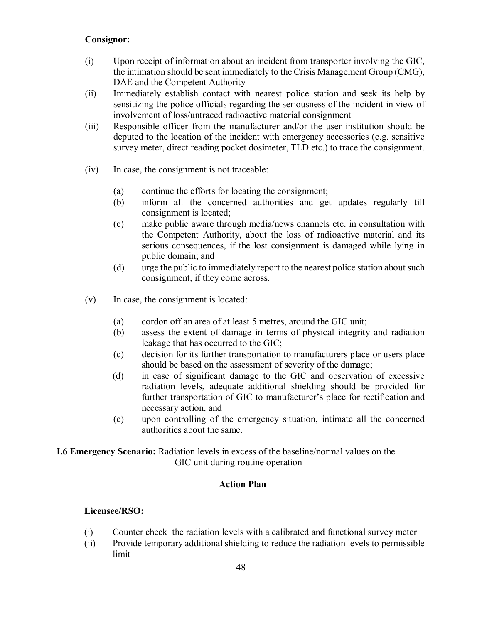### **Consignor:**

- (i) Upon receipt of information about an incident from transporter involving the GIC, the intimation should be sent immediately to the Crisis Management Group (CMG), DAE and the Competent Authority
- (ii) Immediately establish contact with nearest police station and seek its help by sensitizing the police officials regarding the seriousness of the incident in view of involvement of loss/untraced radioactive material consignment
- (iii) Responsible officer from the manufacturer and/or the user institution should be deputed to the location of the incident with emergency accessories (e.g. sensitive survey meter, direct reading pocket dosimeter, TLD etc.) to trace the consignment.
- (iv) In case, the consignment is not traceable:
	- (a) continue the efforts for locating the consignment;
	- (b) inform all the concerned authorities and get updates regularly till consignment is located;
	- (c) make public aware through media/news channels etc. in consultation with the Competent Authority, about the loss of radioactive material and its serious consequences, if the lost consignment is damaged while lying in public domain; and
	- (d) urge the public to immediately report to the nearest police station about such consignment, if they come across.
- (v) In case, the consignment is located:
	- (a) cordon off an area of at least 5 metres, around the GIC unit;
	- (b) assess the extent of damage in terms of physical integrity and radiation leakage that has occurred to the GIC;
	- (c) decision for its further transportation to manufacturers place or users place should be based on the assessment of severity of the damage;
	- (d) in case of significant damage to the GIC and observation of excessive radiation levels, adequate additional shielding should be provided for further transportation of GIC to manufacturer's place for rectification and necessary action, and
	- (e) upon controlling of the emergency situation, intimate all the concerned authorities about the same.

### **I.6 Emergency Scenario:** Radiation levels in excess of the baseline/normal values on the GIC unit during routine operation

### **Action Plan**

### **Licensee/RSO:**

- (i) Counter check the radiation levels with a calibrated and functional survey meter
- (ii) Provide temporary additional shielding to reduce the radiation levels to permissible limit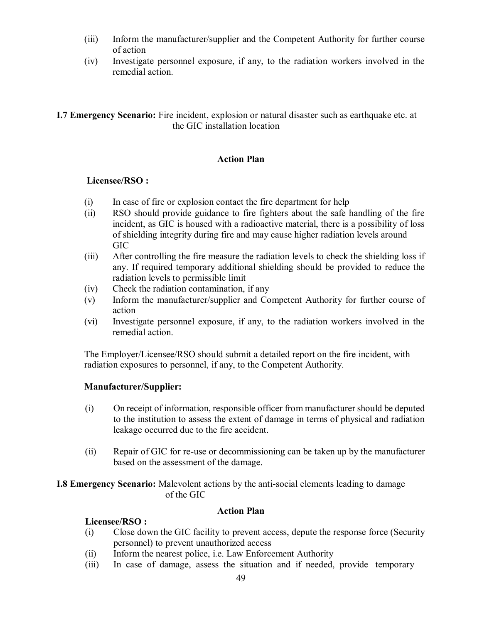- (iii) Inform the manufacturer/supplier and the Competent Authority for further course of action
- (iv) Investigate personnel exposure, if any, to the radiation workers involved in the remedial action.

# **I.7 Emergency Scenario:** Fire incident, explosion or natural disaster such as earthquake etc. at the GIC installation location

# **Action Plan**

# **Licensee/RSO :**

- (i) In case of fire or explosion contact the fire department for help
- (ii) RSO should provide guidance to fire fighters about the safe handling of the fire incident, as GIC is housed with a radioactive material, there is a possibility of loss of shielding integrity during fire and may cause higher radiation levels around GIC
- (iii) After controlling the fire measure the radiation levels to check the shielding loss if any. If required temporary additional shielding should be provided to reduce the radiation levels to permissible limit
- (iv) Check the radiation contamination, if any
- (v) Inform the manufacturer/supplier and Competent Authority for further course of action
- (vi) Investigate personnel exposure, if any, to the radiation workers involved in the remedial action.

The Employer/Licensee/RSO should submit a detailed report on the fire incident, with radiation exposures to personnel, if any, to the Competent Authority.

# **Manufacturer/Supplier:**

- (i) On receipt of information, responsible officer from manufacturer should be deputed to the institution to assess the extent of damage in terms of physical and radiation leakage occurred due to the fire accident.
- (ii) Repair of GIC for re-use or decommissioning can be taken up by the manufacturer based on the assessment of the damage.

**I.8 Emergency Scenario:** Malevolent actions by the anti-social elements leading to damage of the GIC

# **Action Plan**

# **Licensee/RSO :**

- (i) Close down the GIC facility to prevent access, depute the response force (Security personnel) to prevent unauthorized access
- (ii) Inform the nearest police, i.e. Law Enforcement Authority
- (iii) In case of damage, assess the situation and if needed, provide temporary